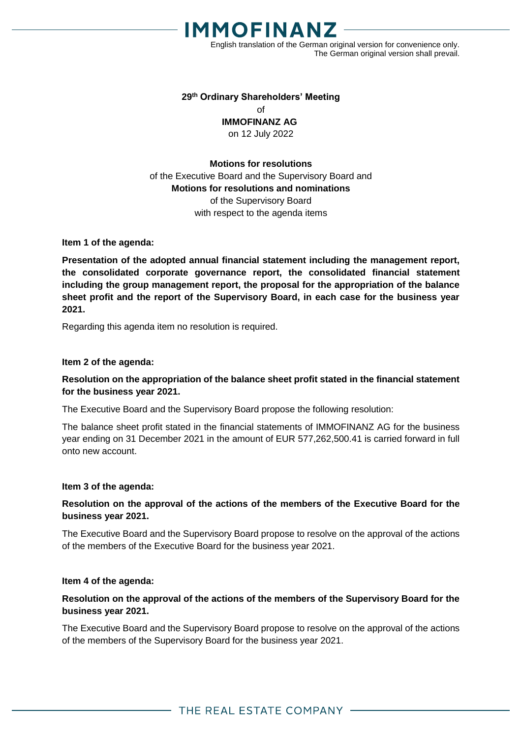

English translation of the German original version for convenience only. The German original version shall prevail.

### **29 th Ordinary Shareholders' Meeting**  $\Omega$ **IMMOFINANZ AG** on 12 July 2022

## **Motions for resolutions** of the Executive Board and the Supervisory Board and **Motions for resolutions and nominations**

of the Supervisory Board

with respect to the agenda items

### **Item 1 of the agenda:**

**Presentation of the adopted annual financial statement including the management report, the consolidated corporate governance report, the consolidated financial statement including the group management report, the proposal for the appropriation of the balance sheet profit and the report of the Supervisory Board, in each case for the business year 2021.**

Regarding this agenda item no resolution is required.

#### **Item 2 of the agenda:**

## **Resolution on the appropriation of the balance sheet profit stated in the financial statement for the business year 2021.**

The Executive Board and the Supervisory Board propose the following resolution:

The balance sheet profit stated in the financial statements of IMMOFINANZ AG for the business year ending on 31 December 2021 in the amount of EUR 577,262,500.41 is carried forward in full onto new account.

#### **Item 3 of the agenda:**

### **Resolution on the approval of the actions of the members of the Executive Board for the business year 2021.**

The Executive Board and the Supervisory Board propose to resolve on the approval of the actions of the members of the Executive Board for the business year 2021.

#### **Item 4 of the agenda:**

## **Resolution on the approval of the actions of the members of the Supervisory Board for the business year 2021.**

The Executive Board and the Supervisory Board propose to resolve on the approval of the actions of the members of the Supervisory Board for the business year 2021.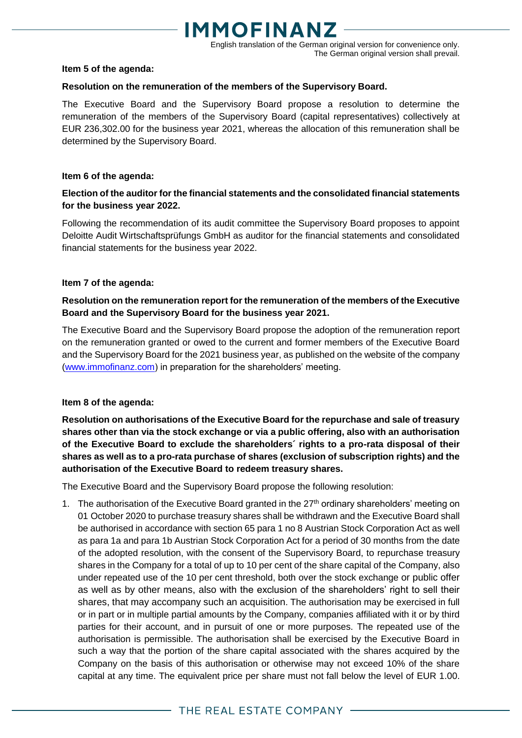English translation of the German original version for convenience only. The German original version shall prevail.

#### **Item 5 of the agenda:**

#### **Resolution on the remuneration of the members of the Supervisory Board.**

The Executive Board and the Supervisory Board propose a resolution to determine the remuneration of the members of the Supervisory Board (capital representatives) collectively at EUR 236,302.00 for the business year 2021, whereas the allocation of this remuneration shall be determined by the Supervisory Board.

#### **Item 6 of the agenda:**

## **Election of the auditor for the financial statements and the consolidated financial statements for the business year 2022.**

Following the recommendation of its audit committee the Supervisory Board proposes to appoint Deloitte Audit Wirtschaftsprüfungs GmbH as auditor for the financial statements and consolidated financial statements for the business year 2022.

#### **Item 7 of the agenda:**

## **Resolution on the remuneration report for the remuneration of the members of the Executive Board and the Supervisory Board for the business year 2021.**

The Executive Board and the Supervisory Board propose the adoption of the remuneration report on the remuneration granted or owed to the current and former members of the Executive Board and the Supervisory Board for the 2021 business year, as published on the website of the company [\(www.immofinanz.com\)](http://www.immofinanz.com/) in preparation for the shareholders' meeting.

### **Item 8 of the agenda:**

**Resolution on authorisations of the Executive Board for the repurchase and sale of treasury shares other than via the stock exchange or via a public offering, also with an authorisation of the Executive Board to exclude the shareholders´ rights to a pro-rata disposal of their shares as well as to a pro-rata purchase of shares (exclusion of subscription rights) and the authorisation of the Executive Board to redeem treasury shares.**

The Executive Board and the Supervisory Board propose the following resolution:

1. The authorisation of the Executive Board granted in the 27<sup>th</sup> ordinary shareholders' meeting on 01 October 2020 to purchase treasury shares shall be withdrawn and the Executive Board shall be authorised in accordance with section 65 para 1 no 8 Austrian Stock Corporation Act as well as para 1a and para 1b Austrian Stock Corporation Act for a period of 30 months from the date of the adopted resolution, with the consent of the Supervisory Board, to repurchase treasury shares in the Company for a total of up to 10 per cent of the share capital of the Company, also under repeated use of the 10 per cent threshold, both over the stock exchange or public offer as well as by other means, also with the exclusion of the shareholders' right to sell their shares, that may accompany such an acquisition. The authorisation may be exercised in full or in part or in multiple partial amounts by the Company, companies affiliated with it or by third parties for their account, and in pursuit of one or more purposes. The repeated use of the authorisation is permissible. The authorisation shall be exercised by the Executive Board in such a way that the portion of the share capital associated with the shares acquired by the Company on the basis of this authorisation or otherwise may not exceed 10% of the share capital at any time. The equivalent price per share must not fall below the level of EUR 1.00.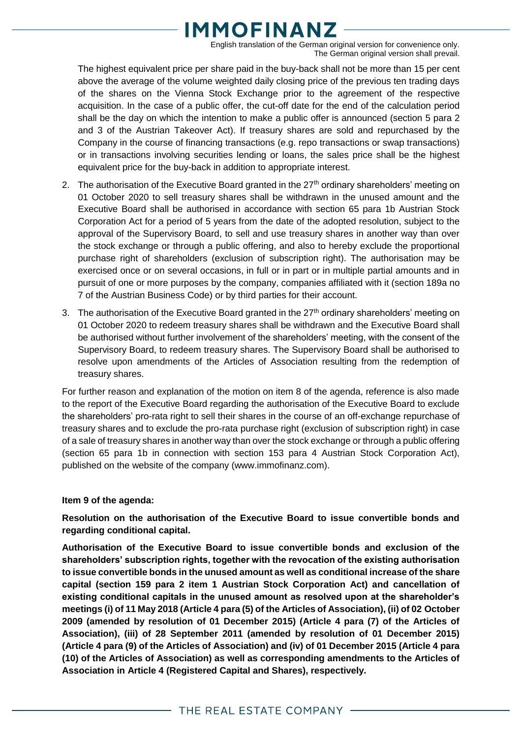English translation of the German original version for convenience only. The German original version shall prevail.

The highest equivalent price per share paid in the buy-back shall not be more than 15 per cent above the average of the volume weighted daily closing price of the previous ten trading days of the shares on the Vienna Stock Exchange prior to the agreement of the respective acquisition. In the case of a public offer, the cut-off date for the end of the calculation period shall be the day on which the intention to make a public offer is announced (section 5 para 2 and 3 of the Austrian Takeover Act). If treasury shares are sold and repurchased by the Company in the course of financing transactions (e.g. repo transactions or swap transactions) or in transactions involving securities lending or loans, the sales price shall be the highest equivalent price for the buy-back in addition to appropriate interest.

- 2. The authorisation of the Executive Board granted in the 27<sup>th</sup> ordinary shareholders' meeting on 01 October 2020 to sell treasury shares shall be withdrawn in the unused amount and the Executive Board shall be authorised in accordance with section 65 para 1b Austrian Stock Corporation Act for a period of 5 years from the date of the adopted resolution, subject to the approval of the Supervisory Board, to sell and use treasury shares in another way than over the stock exchange or through a public offering, and also to hereby exclude the proportional purchase right of shareholders (exclusion of subscription right). The authorisation may be exercised once or on several occasions, in full or in part or in multiple partial amounts and in pursuit of one or more purposes by the company, companies affiliated with it (section 189a no 7 of the Austrian Business Code) or by third parties for their account.
- 3. The authorisation of the Executive Board granted in the  $27<sup>th</sup>$  ordinary shareholders' meeting on 01 October 2020 to redeem treasury shares shall be withdrawn and the Executive Board shall be authorised without further involvement of the shareholders' meeting, with the consent of the Supervisory Board, to redeem treasury shares. The Supervisory Board shall be authorised to resolve upon amendments of the Articles of Association resulting from the redemption of treasury shares.

For further reason and explanation of the motion on item 8 of the agenda, reference is also made to the report of the Executive Board regarding the authorisation of the Executive Board to exclude the shareholders' pro-rata right to sell their shares in the course of an off-exchange repurchase of treasury shares and to exclude the pro-rata purchase right (exclusion of subscription right) in case of a sale of treasury shares in another way than over the stock exchange or through a public offering (section 65 para 1b in connection with section 153 para 4 Austrian Stock Corporation Act), published on the website of the company (www.immofinanz.com).

### **Item 9 of the agenda:**

**Resolution on the authorisation of the Executive Board to issue convertible bonds and regarding conditional capital.**

**Authorisation of the Executive Board to issue convertible bonds and exclusion of the shareholders' subscription rights, together with the revocation of the existing authorisation to issue convertible bonds in the unused amount as well as conditional increase of the share capital (section 159 para 2 item 1 Austrian Stock Corporation Act) and cancellation of existing conditional capitals in the unused amount as resolved upon at the shareholder's meetings (i) of 11 May 2018 (Article 4 para (5) of the Articles of Association), (ii) of 02 October 2009 (amended by resolution of 01 December 2015) (Article 4 para (7) of the Articles of Association), (iii) of 28 September 2011 (amended by resolution of 01 December 2015) (Article 4 para (9) of the Articles of Association) and (iv) of 01 December 2015 (Article 4 para (10) of the Articles of Association) as well as corresponding amendments to the Articles of Association in Article 4 (Registered Capital and Shares), respectively.**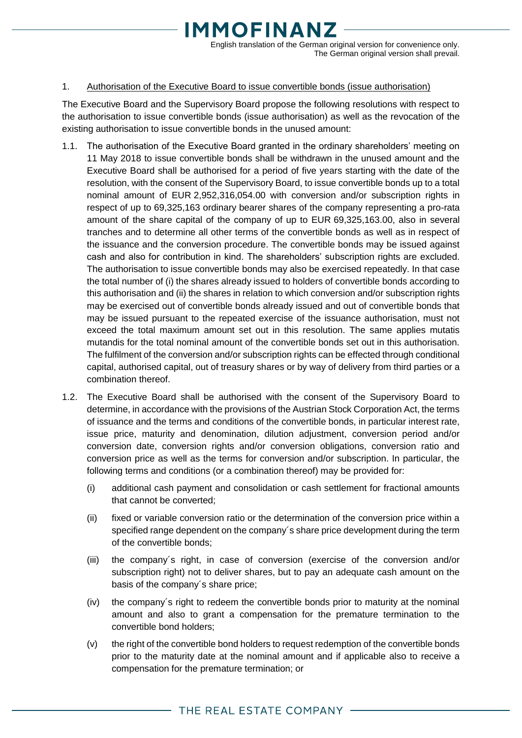English translation of the German original version for convenience only. The German original version shall prevail.

#### 1. Authorisation of the Executive Board to issue convertible bonds (issue authorisation)

The Executive Board and the Supervisory Board propose the following resolutions with respect to the authorisation to issue convertible bonds (issue authorisation) as well as the revocation of the existing authorisation to issue convertible bonds in the unused amount:

- 1.1. The authorisation of the Executive Board granted in the ordinary shareholders' meeting on 11 May 2018 to issue convertible bonds shall be withdrawn in the unused amount and the Executive Board shall be authorised for a period of five years starting with the date of the resolution, with the consent of the Supervisory Board, to issue convertible bonds up to a total nominal amount of EUR 2,952,316,054.00 with conversion and/or subscription rights in respect of up to 69,325,163 ordinary bearer shares of the company representing a pro-rata amount of the share capital of the company of up to EUR 69,325,163.00, also in several tranches and to determine all other terms of the convertible bonds as well as in respect of the issuance and the conversion procedure. The convertible bonds may be issued against cash and also for contribution in kind. The shareholders' subscription rights are excluded. The authorisation to issue convertible bonds may also be exercised repeatedly. In that case the total number of (i) the shares already issued to holders of convertible bonds according to this authorisation and (ii) the shares in relation to which conversion and/or subscription rights may be exercised out of convertible bonds already issued and out of convertible bonds that may be issued pursuant to the repeated exercise of the issuance authorisation, must not exceed the total maximum amount set out in this resolution. The same applies mutatis mutandis for the total nominal amount of the convertible bonds set out in this authorisation. The fulfilment of the conversion and/or subscription rights can be effected through conditional capital, authorised capital, out of treasury shares or by way of delivery from third parties or a combination thereof.
- 1.2. The Executive Board shall be authorised with the consent of the Supervisory Board to determine, in accordance with the provisions of the Austrian Stock Corporation Act, the terms of issuance and the terms and conditions of the convertible bonds, in particular interest rate, issue price, maturity and denomination, dilution adjustment, conversion period and/or conversion date, conversion rights and/or conversion obligations, conversion ratio and conversion price as well as the terms for conversion and/or subscription. In particular, the following terms and conditions (or a combination thereof) may be provided for:
	- (i) additional cash payment and consolidation or cash settlement for fractional amounts that cannot be converted;
	- (ii) fixed or variable conversion ratio or the determination of the conversion price within a specified range dependent on the company´s share price development during the term of the convertible bonds;
	- (iii) the company´s right, in case of conversion (exercise of the conversion and/or subscription right) not to deliver shares, but to pay an adequate cash amount on the basis of the company´s share price;
	- (iv) the company´s right to redeem the convertible bonds prior to maturity at the nominal amount and also to grant a compensation for the premature termination to the convertible bond holders;
	- (v) the right of the convertible bond holders to request redemption of the convertible bonds prior to the maturity date at the nominal amount and if applicable also to receive a compensation for the premature termination; or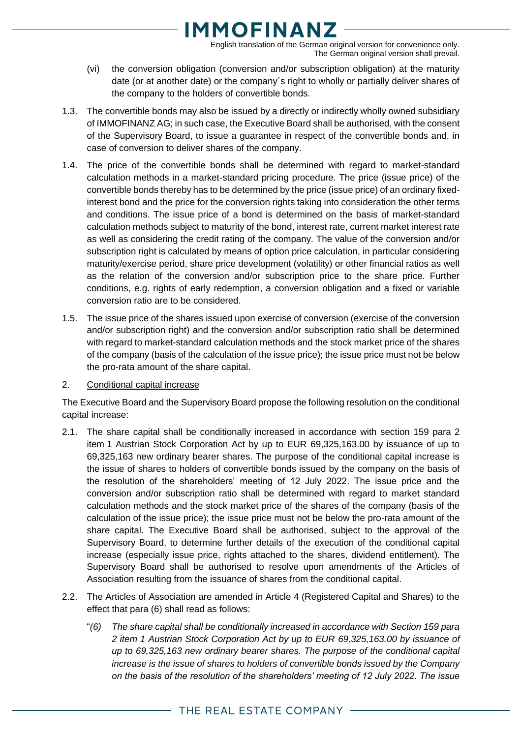English translation of the German original version for convenience only. The German original version shall prevail.

- (vi) the conversion obligation (conversion and/or subscription obligation) at the maturity date (or at another date) or the company´s right to wholly or partially deliver shares of the company to the holders of convertible bonds.
- 1.3. The convertible bonds may also be issued by a directly or indirectly wholly owned subsidiary of IMMOFINANZ AG; in such case, the Executive Board shall be authorised, with the consent of the Supervisory Board, to issue a guarantee in respect of the convertible bonds and, in case of conversion to deliver shares of the company.
- 1.4. The price of the convertible bonds shall be determined with regard to market-standard calculation methods in a market-standard pricing procedure. The price (issue price) of the convertible bonds thereby has to be determined by the price (issue price) of an ordinary fixedinterest bond and the price for the conversion rights taking into consideration the other terms and conditions. The issue price of a bond is determined on the basis of market-standard calculation methods subject to maturity of the bond, interest rate, current market interest rate as well as considering the credit rating of the company. The value of the conversion and/or subscription right is calculated by means of option price calculation, in particular considering maturity/exercise period, share price development (volatility) or other financial ratios as well as the relation of the conversion and/or subscription price to the share price. Further conditions, e.g. rights of early redemption, a conversion obligation and a fixed or variable conversion ratio are to be considered.
- 1.5. The issue price of the shares issued upon exercise of conversion (exercise of the conversion and/or subscription right) and the conversion and/or subscription ratio shall be determined with regard to market-standard calculation methods and the stock market price of the shares of the company (basis of the calculation of the issue price); the issue price must not be below the pro-rata amount of the share capital.

#### 2. Conditional capital increase

The Executive Board and the Supervisory Board propose the following resolution on the conditional capital increase:

- 2.1. The share capital shall be conditionally increased in accordance with section 159 para 2 item 1 Austrian Stock Corporation Act by up to EUR 69,325,163.00 by issuance of up to 69,325,163 new ordinary bearer shares. The purpose of the conditional capital increase is the issue of shares to holders of convertible bonds issued by the company on the basis of the resolution of the shareholders' meeting of 12 July 2022. The issue price and the conversion and/or subscription ratio shall be determined with regard to market standard calculation methods and the stock market price of the shares of the company (basis of the calculation of the issue price); the issue price must not be below the pro-rata amount of the share capital. The Executive Board shall be authorised, subject to the approval of the Supervisory Board, to determine further details of the execution of the conditional capital increase (especially issue price, rights attached to the shares, dividend entitlement). The Supervisory Board shall be authorised to resolve upon amendments of the Articles of Association resulting from the issuance of shares from the conditional capital.
- 2.2. The Articles of Association are amended in Article 4 (Registered Capital and Shares) to the effect that para (6) shall read as follows:
	- "*(6) The share capital shall be conditionally increased in accordance with Section 159 para 2 item 1 Austrian Stock Corporation Act by up to EUR 69,325,163.00 by issuance of up to 69,325,163 new ordinary bearer shares. The purpose of the conditional capital increase is the issue of shares to holders of convertible bonds issued by the Company on the basis of the resolution of the shareholders' meeting of 12 July 2022. The issue*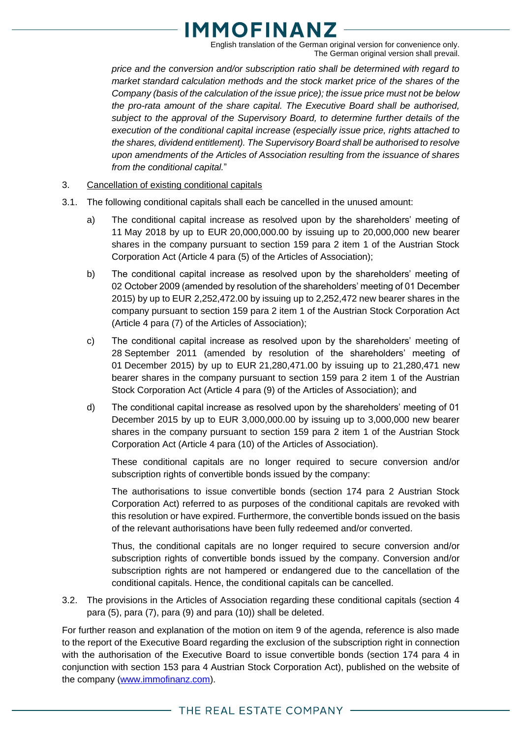English translation of the German original version for convenience only. The German original version shall prevail.

*price and the conversion and/or subscription ratio shall be determined with regard to market standard calculation methods and the stock market price of the shares of the Company (basis of the calculation of the issue price); the issue price must not be below the pro-rata amount of the share capital. The Executive Board shall be authorised, subject to the approval of the Supervisory Board, to determine further details of the execution of the conditional capital increase (especially issue price, rights attached to the shares, dividend entitlement). The Supervisory Board shall be authorised to resolve upon amendments of the Articles of Association resulting from the issuance of shares from the conditional capital.*"

- 3. Cancellation of existing conditional capitals
- 3.1. The following conditional capitals shall each be cancelled in the unused amount:
	- a) The conditional capital increase as resolved upon by the shareholders' meeting of 11 May 2018 by up to EUR 20,000,000.00 by issuing up to 20,000,000 new bearer shares in the company pursuant to section 159 para 2 item 1 of the Austrian Stock Corporation Act (Article 4 para (5) of the Articles of Association);
	- b) The conditional capital increase as resolved upon by the shareholders' meeting of 02 October 2009 (amended by resolution of the shareholders' meeting of 01 December 2015) by up to EUR 2,252,472.00 by issuing up to 2,252,472 new bearer shares in the company pursuant to section 159 para 2 item 1 of the Austrian Stock Corporation Act (Article 4 para (7) of the Articles of Association);
	- c) The conditional capital increase as resolved upon by the shareholders' meeting of 28 September 2011 (amended by resolution of the shareholders' meeting of 01 December 2015) by up to EUR 21,280,471.00 by issuing up to 21,280,471 new bearer shares in the company pursuant to section 159 para 2 item 1 of the Austrian Stock Corporation Act (Article 4 para (9) of the Articles of Association); and
	- d) The conditional capital increase as resolved upon by the shareholders' meeting of 01 December 2015 by up to EUR 3,000,000.00 by issuing up to 3,000,000 new bearer shares in the company pursuant to section 159 para 2 item 1 of the Austrian Stock Corporation Act (Article 4 para (10) of the Articles of Association).

These conditional capitals are no longer required to secure conversion and/or subscription rights of convertible bonds issued by the company:

The authorisations to issue convertible bonds (section 174 para 2 Austrian Stock Corporation Act) referred to as purposes of the conditional capitals are revoked with this resolution or have expired. Furthermore, the convertible bonds issued on the basis of the relevant authorisations have been fully redeemed and/or converted.

Thus, the conditional capitals are no longer required to secure conversion and/or subscription rights of convertible bonds issued by the company. Conversion and/or subscription rights are not hampered or endangered due to the cancellation of the conditional capitals. Hence, the conditional capitals can be cancelled.

3.2. The provisions in the Articles of Association regarding these conditional capitals (section 4 para (5), para (7), para (9) and para (10)) shall be deleted.

For further reason and explanation of the motion on item 9 of the agenda, reference is also made to the report of the Executive Board regarding the exclusion of the subscription right in connection with the authorisation of the Executive Board to issue convertible bonds (section 174 para 4 in conjunction with section 153 para 4 Austrian Stock Corporation Act), published on the website of the company [\(www.immofinanz.com\)](http://www.immofinanz.com/).

## THE REAL ESTATE COMPANY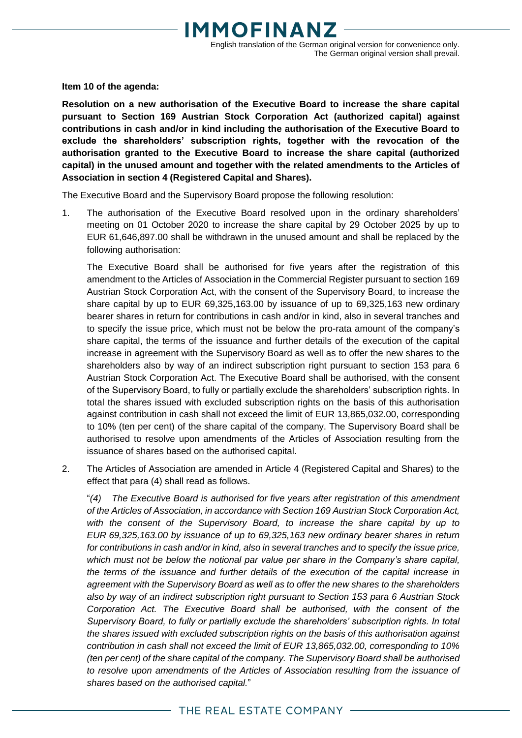**Item 10 of the agenda:**

**Resolution on a new authorisation of the Executive Board to increase the share capital pursuant to Section 169 Austrian Stock Corporation Act (authorized capital) against contributions in cash and/or in kind including the authorisation of the Executive Board to exclude the shareholders' subscription rights, together with the revocation of the authorisation granted to the Executive Board to increase the share capital (authorized capital) in the unused amount and together with the related amendments to the Articles of Association in section 4 (Registered Capital and Shares).**

The Executive Board and the Supervisory Board propose the following resolution:

1. The authorisation of the Executive Board resolved upon in the ordinary shareholders' meeting on 01 October 2020 to increase the share capital by 29 October 2025 by up to EUR 61,646,897.00 shall be withdrawn in the unused amount and shall be replaced by the following authorisation:

The Executive Board shall be authorised for five years after the registration of this amendment to the Articles of Association in the Commercial Register pursuant to section 169 Austrian Stock Corporation Act, with the consent of the Supervisory Board, to increase the share capital by up to EUR 69,325,163.00 by issuance of up to 69,325,163 new ordinary bearer shares in return for contributions in cash and/or in kind, also in several tranches and to specify the issue price, which must not be below the pro-rata amount of the company's share capital, the terms of the issuance and further details of the execution of the capital increase in agreement with the Supervisory Board as well as to offer the new shares to the shareholders also by way of an indirect subscription right pursuant to section 153 para 6 Austrian Stock Corporation Act. The Executive Board shall be authorised, with the consent of the Supervisory Board, to fully or partially exclude the shareholders' subscription rights. In total the shares issued with excluded subscription rights on the basis of this authorisation against contribution in cash shall not exceed the limit of EUR 13,865,032.00, corresponding to 10% (ten per cent) of the share capital of the company. The Supervisory Board shall be authorised to resolve upon amendments of the Articles of Association resulting from the issuance of shares based on the authorised capital.

2. The Articles of Association are amended in Article 4 (Registered Capital and Shares) to the effect that para (4) shall read as follows.

"*(4) The Executive Board is authorised for five years after registration of this amendment of the Articles of Association, in accordance with Section 169 Austrian Stock Corporation Act, with the consent of the Supervisory Board, to increase the share capital by up to EUR 69,325,163.00 by issuance of up to 69,325,163 new ordinary bearer shares in return for contributions in cash and/or in kind, also in several tranches and to specify the issue price, which must not be below the notional par value per share in the Company's share capital, the terms of the issuance and further details of the execution of the capital increase in agreement with the Supervisory Board as well as to offer the new shares to the shareholders also by way of an indirect subscription right pursuant to Section 153 para 6 Austrian Stock Corporation Act. The Executive Board shall be authorised, with the consent of the Supervisory Board, to fully or partially exclude the shareholders' subscription rights. In total the shares issued with excluded subscription rights on the basis of this authorisation against contribution in cash shall not exceed the limit of EUR 13,865,032.00, corresponding to 10% (ten per cent) of the share capital of the company. The Supervisory Board shall be authorised to resolve upon amendments of the Articles of Association resulting from the issuance of shares based on the authorised capital.*"